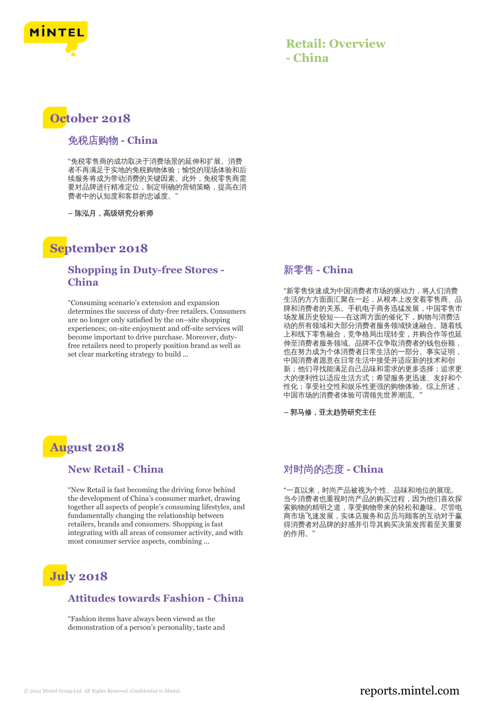

### **Retail: Overview - China**

## **October 2018**

#### 免税店购物 **- China**

"免税零售商的成功取决于消费场景的延伸和扩展。消费 者不再满足于实地的免税购物体验;愉悦的现场体验和后 续服务将成为带动消费的关键因素。此外,免税零售商需 要对品牌进行精准定位,制定明确的营销策略,提高在消 费者中的认知度和客群的忠诚度。"

**–** 陈泓月,高级研究分析师

### **September 2018**

### **Shopping in Duty-free Stores - China**

"Consuming scenario's extension and expansion determines the success of duty-free retailers. Consumers are no longer only satisfied by the on–site shopping experiences; on-site enjoyment and off-site services will become important to drive purchase. Moreover, dutyfree retailers need to properly position brand as well as set clear marketing strategy to build ...

### 新零售 **- China**

"新零售快速成为中国消费者市场的驱动力,将人们消费 生活的方方面面汇聚在一起,从根本上改变着零售商、品 牌和消费者的关系。手机电子商务迅猛发展,中国零售市 场发展历史较短——在这两方面的催化下,购物与消费活 动的所有领域和大部分消费者服务领域快速融合。随着线 上和线下零售融合,竞争格局出现转变,并购合作等也延 伸至消费者服务领域。品牌不仅争取消费者的钱包份额, 也在努力成为个体消费者日常生活的一部分。事实证明, 中国消费者愿意在日常生活中接受并适应新的技术和创 新;他们寻找能满足自己品味和需求的更多选择;追求更 大的便利性以适应生活方式;希望服务更迅速、友好和个 性化;享受社交性和娱乐性更强的购物体验。综上所述, 中国市场的消费者体验可谓领先世界潮流。"

**–** 郭马修,亚太趋势研究主任

## **August 2018**

### **New Retail - China**

"New Retail is fast becoming the driving force behind the development of China's consumer market, drawing together all aspects of people's consuming lifestyles, and fundamentally changing the relationship between retailers, brands and consumers. Shopping is fast integrating with all areas of consumer activity, and with most consumer service aspects, combining ...

# **July 2018**

### **Attitudes towards Fashion - China**

"Fashion items have always been viewed as the demonstration of a person's personality, taste and

### 对时尚的态度 **- China**

"一直以来,时尚产品被视为个性、品味和地位的展现。 当今消费者也重视时尚产品的购买过程,因为他们喜欢探 索购物的精明之道,享受购物带来的轻松和趣味。尽管电 商市场飞速发展,实体店服务和店员与顾客的互动对于赢 得消费者对品牌的好感并引导其购买决策发挥着至关重要 的作用。"